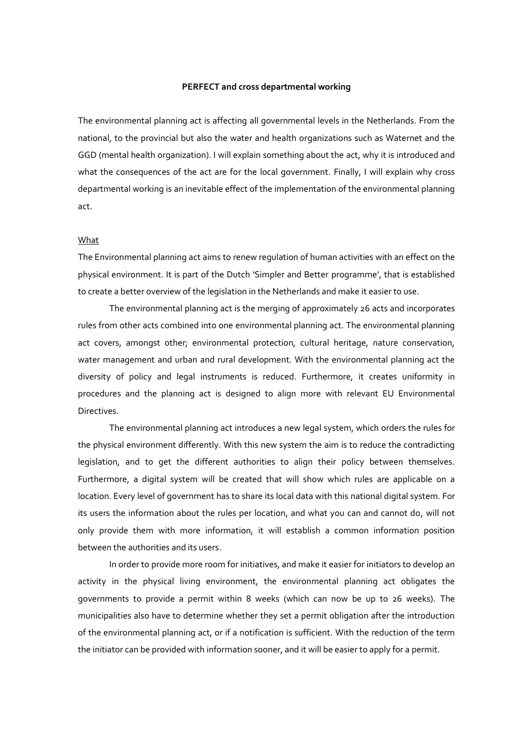### **PERFECT and cross departmental working**

The environmental planning act is affecting all governmental levels in the Netherlands. From the national, to the provincial but also the water and health organizations such as Waternet and the GGD (mental health organization). I will explain something about the act, why it is introduced and what the consequences of the act are for the local government. Finally, I will explain why cross departmental working is an inevitable effect of the implementation of the environmental planning act.

### What

The Environmental planning act aims to renew regulation of human activities with an effect on the physical environment. It is part of the Dutch 'Simpler and Better programme', that is established to create a better overview of the legislation in the Netherlands and make it easier to use.

The environmental planning act is the merging of approximately 26 acts and incorporates rules from other acts combined into one environmental planning act. The environmental planning act covers, amongst other; environmental protection, cultural heritage, nature conservation, water management and urban and rural development. With the environmental planning act the diversity of policy and legal instruments is reduced. Furthermore, it creates uniformity in procedures and the planning act is designed to align more with relevant EU Environmental Directives.

The environmental planning act introduces a new legal system, which orders the rules for the physical environment differently. With this new system the aim is to reduce the contradicting legislation, and to get the different authorities to align their policy between themselves. Furthermore, a digital system will be created that will show which rules are applicable on a location. Every level of government has to share its local data with this national digital system. For its users the information about the rules per location, and what you can and cannot do, will not only provide them with more information, it will establish a common information position between the authorities and its users.

In order to provide more room for initiatives, and make it easier for initiators to develop an activity in the physical living environment, the environmental planning act obligates the governments to provide a permit within 8 weeks (which can now be up to 26 weeks). The municipalities also have to determine whether they set a permit obligation after the introduction of the environmental planning act, or if a notification is sufficient. With the reduction of the term the initiator can be provided with information sooner, and it will be easier to apply for a permit.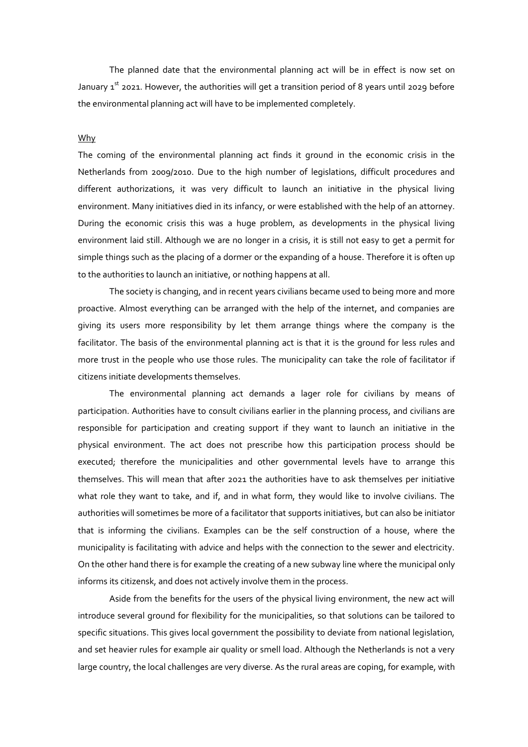The planned date that the environmental planning act will be in effect is now set on January  $1^{st}$  2021. However, the authorities will get a transition period of 8 years until 2029 before the environmental planning act will have to be implemented completely.

# Why

The coming of the environmental planning act finds it ground in the economic crisis in the Netherlands from 2009/2010. Due to the high number of legislations, difficult procedures and different authorizations, it was very difficult to launch an initiative in the physical living environment. Many initiatives died in its infancy, or were established with the help of an attorney. During the economic crisis this was a huge problem, as developments in the physical living environment laid still. Although we are no longer in a crisis, it is still not easy to get a permit for simple things such as the placing of a dormer or the expanding of a house. Therefore it is often up to the authorities to launch an initiative, or nothing happens at all.

The society is changing, and in recent years civilians became used to being more and more proactive. Almost everything can be arranged with the help of the internet, and companies are giving its users more responsibility by let them arrange things where the company is the facilitator. The basis of the environmental planning act is that it is the ground for less rules and more trust in the people who use those rules. The municipality can take the role of facilitator if citizens initiate developments themselves.

The environmental planning act demands a lager role for civilians by means of participation. Authorities have to consult civilians earlier in the planning process, and civilians are responsible for participation and creating support if they want to launch an initiative in the physical environment. The act does not prescribe how this participation process should be executed; therefore the municipalities and other governmental levels have to arrange this themselves. This will mean that after 2021 the authorities have to ask themselves per initiative what role they want to take, and if, and in what form, they would like to involve civilians. The authorities will sometimes be more of a facilitator that supports initiatives, but can also be initiator that is informing the civilians. Examples can be the self construction of a house, where the municipality is facilitating with advice and helps with the connection to the sewer and electricity. On the other hand there is for example the creating of a new subway line where the municipal only informs its citizensk, and does not actively involve them in the process.

Aside from the benefits for the users of the physical living environment, the new act will introduce several ground for flexibility for the municipalities, so that solutions can be tailored to specific situations. This gives local government the possibility to deviate from national legislation, and set heavier rules for example air quality or smell load. Although the Netherlands is not a very large country, the local challenges are very diverse. As the rural areas are coping, for example, with